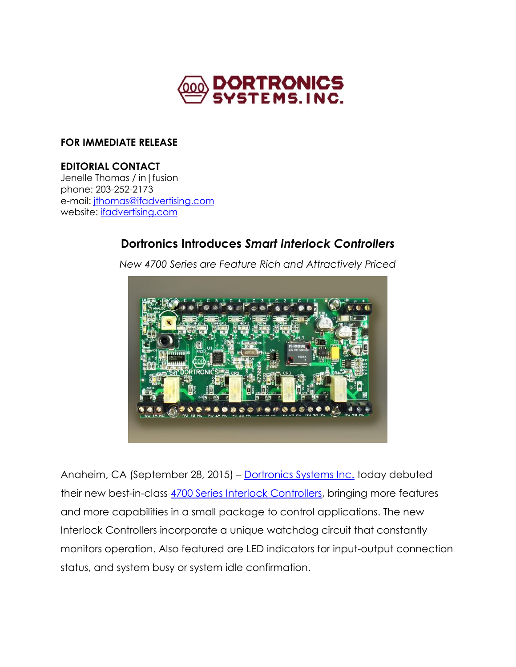

## **FOR IMMEDIATE RELEASE**

## **EDITORIAL CONTACT**

Jenelle Thomas / in|fusion phone: 203-252-2173 e-mail: [jthomas@ifadvertising.com](mailto:jthomas@ifadvertising.com) website: [ifadvertising.com](http://www.ifadvertising.com/)

# **Dortronics Introduces** *Smart Interlock Controllers*



*New 4700 Series are Feature Rich and Attractively Priced*

Anaheim, CA (September 28, 2015) – [Dortronics Systems Inc.](http://dortronics.com/) today debuted their new best-in-class [4700 Series Interlock Controllers,](http://dortronics.com/brochures/4770%20PLC%20Mantrap.pdf) bringing more features and more capabilities in a small package to control applications. The new Interlock Controllers incorporate a unique watchdog circuit that constantly monitors operation. Also featured are LED indicators for input-output connection status, and system busy or system idle confirmation.